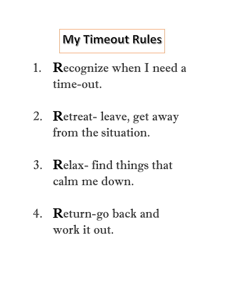## My Timeout Rules

- 1. Recognize when I need a time-out.
- 2. Retreat- leave, get away from the situation.
- 3. Relax- find things that calm me down.
- 4. Return-go back and work it out.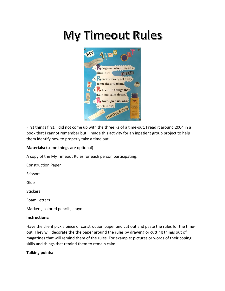## My Timeout Rules



First things first, I did not come up with the three Rs of a time-out. I read it around 2004 in a book that I cannot remember but, I made this activity for an inpatient group project to help them identify how to properly take a time out.

**Materials:** (some things are optional)

A copy of the My Timeout Rules for each person participating.

Construction Paper

**Scissors** 

Glue

**Stickers** 

Foam Letters

Markers, colored pencils, crayons

## **Instructions:**

Have the client pick a piece of construction paper and cut out and paste the rules for the timeout. They will decorate the the paper around the rules by drawing or cutting things out of magazines that will remind them of the rules. For example: pictures or words of their coping skills and things that remind them to remain calm.

## **Talking points:**